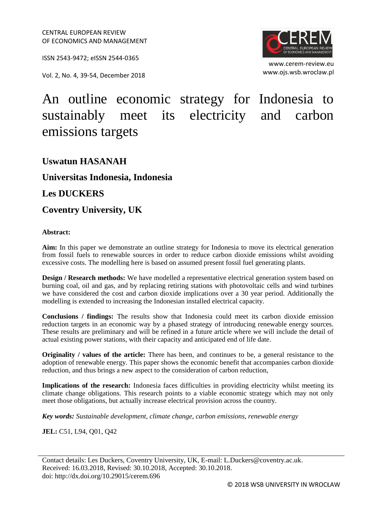ISSN 2543-9472; eISSN 2544-0365

Vol. 2, No. 4, 39-54, December 2018



www.cerem-review.eu www.ojs.wsb.wroclaw.pl

# An outline economic strategy for Indonesia to sustainably meet its electricity and carbon emissions targets

## **Uswatun HASANAH**

### **Universitas Indonesia, Indonesia**

#### **Les DUCKERS**

**Coventry University, UK**

#### **Abstract:**

**Aim:** In this paper we demonstrate an outline strategy for Indonesia to move its electrical generation from fossil fuels to renewable sources in order to reduce carbon dioxide emissions whilst avoiding excessive costs. The modelling here is based on assumed present fossil fuel generating plants.

**Design / Research methods:** We have modelled a representative electrical generation system based on burning coal, oil and gas, and by replacing retiring stations with photovoltaic cells and wind turbines we have considered the cost and carbon dioxide implications over a 30 year period. Additionally the modelling is extended to increasing the Indonesian installed electrical capacity.

**Conclusions / findings:** The results show that Indonesia could meet its carbon dioxide emission reduction targets in an economic way by a phased strategy of introducing renewable energy sources. These results are preliminary and will be refined in a future article where we will include the detail of actual existing power stations, with their capacity and anticipated end of life date.

**Originality / values of the article:** There has been, and continues to be, a general resistance to the adoption of renewable energy. This paper shows the economic benefit that accompanies carbon dioxide reduction, and thus brings a new aspect to the consideration of carbon reduction,

**Implications of the research:** Indonesia faces difficulties in providing electricity whilst meeting its climate change obligations. This research points to a viable economic strategy which may not only meet those obligations, but actually increase electrical provision across the country.

*Key words: Sustainable development, climate change, carbon emissions, renewable energy*

**JEL:** C51, L94, Q01, Q42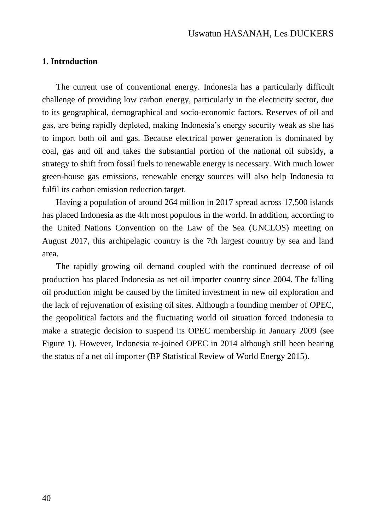#### **1. Introduction**

The current use of conventional energy. Indonesia has a particularly difficult challenge of providing low carbon energy, particularly in the electricity sector, due to its geographical, demographical and socio-economic factors. Reserves of oil and gas, are being rapidly depleted, making Indonesia's energy security weak as she has to import both oil and gas. Because electrical power generation is dominated by coal, gas and oil and takes the substantial portion of the national oil subsidy, a strategy to shift from fossil fuels to renewable energy is necessary. With much lower green-house gas emissions, renewable energy sources will also help Indonesia to fulfil its carbon emission reduction target.

Having a population of around 264 million in 2017 spread across 17,500 islands has placed Indonesia as the 4th most populous in the world. In addition, according to the United Nations Convention on the Law of the Sea (UNCLOS) meeting on August 2017, this archipelagic country is the 7th largest country by sea and land area.

The rapidly growing oil demand coupled with the continued decrease of oil production has placed Indonesia as net oil importer country since 2004. The falling oil production might be caused by the limited investment in new oil exploration and the lack of rejuvenation of existing oil sites. Although a founding member of OPEC, the geopolitical factors and the fluctuating world oil situation forced Indonesia to make a strategic decision to suspend its OPEC membership in January 2009 (see Figure 1). However, Indonesia re-joined OPEC in 2014 although still been bearing the status of a net oil importer (BP Statistical Review of World Energy 2015).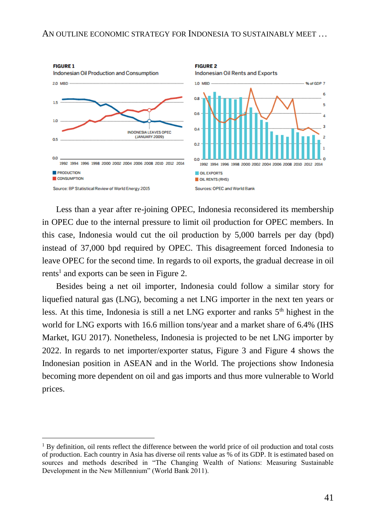

Less than a year after re-joining OPEC, Indonesia reconsidered its membership in OPEC due to the internal pressure to limit oil production for OPEC members. In this case, Indonesia would cut the oil production by 5,000 barrels per day (bpd) instead of 37,000 bpd required by OPEC. This disagreement forced Indonesia to leave OPEC for the second time. In regards to oil exports, the gradual decrease in oil rents<sup>1</sup> and exports can be seen in Figure 2.

Besides being a net oil importer, Indonesia could follow a similar story for liquefied natural gas (LNG), becoming a net LNG importer in the next ten years or less. At this time, Indonesia is still a net LNG exporter and ranks  $5<sup>th</sup>$  highest in the world for LNG exports with 16.6 million tons/year and a market share of 6.4% (IHS Market, IGU 2017). Nonetheless, Indonesia is projected to be net LNG importer by 2022. In regards to net importer/exporter status, Figure 3 and Figure 4 shows the Indonesian position in ASEAN and in the World. The projections show Indonesia becoming more dependent on oil and gas imports and thus more vulnerable to World prices.

 $\overline{a}$ 

<sup>&</sup>lt;sup>1</sup> By definition, oil rents reflect the difference between the world price of oil production and total costs of production. Each country in Asia has diverse oil rents value as % of its GDP. It is estimated based on sources and methods described in "The Changing Wealth of Nations: Measuring Sustainable Development in the New Millennium" (World Bank 2011).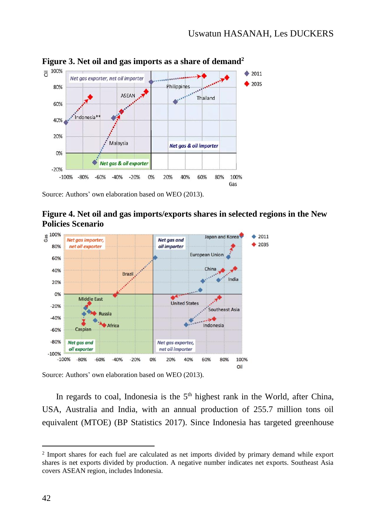

Source: Authors' own elaboration based on WEO (2013).





Source: Authors' own elaboration based on WEO (2013).

In regards to coal, Indonesia is the  $5<sup>th</sup>$  highest rank in the World, after China, USA, Australia and India, with an annual production of 255.7 million tons oil equivalent (MTOE) (BP Statistics 2017). Since Indonesia has targeted greenhouse

 $\overline{a}$ 

<sup>&</sup>lt;sup>2</sup> Import shares for each fuel are calculated as net imports divided by primary demand while export shares is net exports divided by production. A negative number indicates net exports. Southeast Asia covers ASEAN region, includes Indonesia.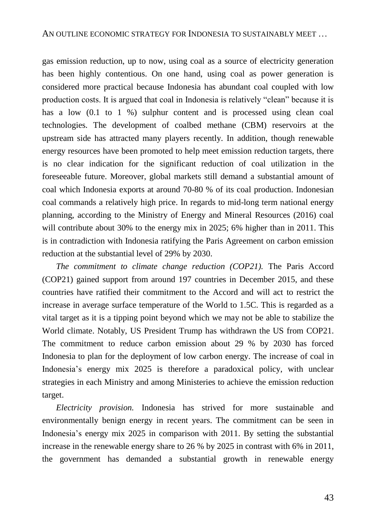gas emission reduction, up to now, using coal as a source of electricity generation has been highly contentious. On one hand, using coal as power generation is considered more practical because Indonesia has abundant coal coupled with low production costs. It is argued that coal in Indonesia is relatively "clean" because it is has a low  $(0.1 \text{ to } 1 \%)$  sulphur content and is processed using clean coal technologies. The development of coalbed methane (CBM) reservoirs at the upstream side has attracted many players recently. In addition, though renewable energy resources have been promoted to help meet emission reduction targets, there is no clear indication for the significant reduction of coal utilization in the foreseeable future. Moreover, global markets still demand a substantial amount of coal which Indonesia exports at around 70-80 % of its coal production. Indonesian coal commands a relatively high price. In regards to mid-long term national energy planning, according to the Ministry of Energy and Mineral Resources (2016) coal will contribute about 30% to the energy mix in 2025; 6% higher than in 2011. This is in contradiction with Indonesia ratifying the Paris Agreement on carbon emission reduction at the substantial level of 29% by 2030.

*The commitment to climate change reduction (COP21).* The Paris Accord (COP21) gained support from around 197 countries in December 2015, and these countries have ratified their commitment to the Accord and will act to restrict the increase in average surface temperature of the World to 1.5C. This is regarded as a vital target as it is a tipping point beyond which we may not be able to stabilize the World climate. Notably, US President Trump has withdrawn the US from COP21. The commitment to reduce carbon emission about 29 % by 2030 has forced Indonesia to plan for the deployment of low carbon energy. The increase of coal in Indonesia's energy mix 2025 is therefore a paradoxical policy, with unclear strategies in each Ministry and among Ministeries to achieve the emission reduction target.

*Electricity provision.* Indonesia has strived for more sustainable and environmentally benign energy in recent years. The commitment can be seen in Indonesia's energy mix 2025 in comparison with 2011. By setting the substantial increase in the renewable energy share to 26 % by 2025 in contrast with 6% in 2011, the government has demanded a substantial growth in renewable energy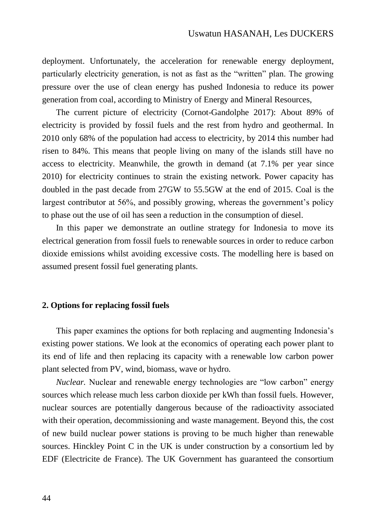deployment. Unfortunately, the acceleration for renewable energy deployment, particularly electricity generation, is not as fast as the "written" plan. The growing pressure over the use of clean energy has pushed Indonesia to reduce its power generation from coal, according to Ministry of Energy and Mineral Resources,

The current picture of electricity (Cornot-Gandolphe 2017): About 89% of electricity is provided by fossil fuels and the rest from hydro and geothermal. In 2010 only 68% of the population had access to electricity, by 2014 this number had risen to 84%. This means that people living on many of the islands still have no access to electricity. Meanwhile, the growth in demand (at 7.1% per year since 2010) for electricity continues to strain the existing network. Power capacity has doubled in the past decade from 27GW to 55.5GW at the end of 2015. Coal is the largest contributor at 56%, and possibly growing, whereas the government's policy to phase out the use of oil has seen a reduction in the consumption of diesel.

In this paper we demonstrate an outline strategy for Indonesia to move its electrical generation from fossil fuels to renewable sources in order to reduce carbon dioxide emissions whilst avoiding excessive costs. The modelling here is based on assumed present fossil fuel generating plants.

## **2. Options for replacing fossil fuels**

This paper examines the options for both replacing and augmenting Indonesia's existing power stations. We look at the economics of operating each power plant to its end of life and then replacing its capacity with a renewable low carbon power plant selected from PV, wind, biomass, wave or hydro.

*Nuclear.* Nuclear and renewable energy technologies are "low carbon" energy sources which release much less carbon dioxide per kWh than fossil fuels. However, nuclear sources are potentially dangerous because of the radioactivity associated with their operation, decommissioning and waste management. Beyond this, the cost of new build nuclear power stations is proving to be much higher than renewable sources. Hinckley Point C in the UK is under construction by a consortium led by EDF (Electricite de France). The UK Government has guaranteed the consortium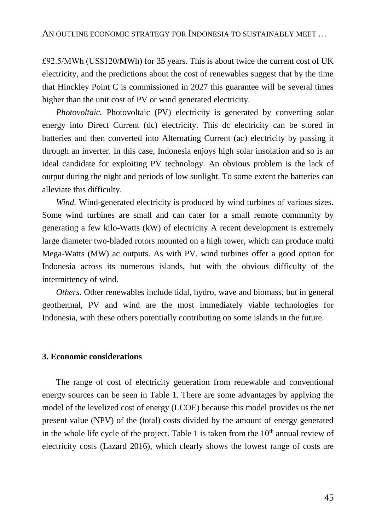£92.5/MWh (US\$120/MWh) for 35 years. This is about twice the current cost of UK electricity, and the predictions about the cost of renewables suggest that by the time that Hinckley Point C is commissioned in 2027 this guarantee will be several times higher than the unit cost of PV or wind generated electricity.

*Photovoltaic.* Photovoltaic (PV) electricity is generated by converting solar energy into Direct Current (dc) electricity. This dc electricity can be stored in batteries and then converted into Alternating Current (ac) electricity by passing it through an inverter. In this case, Indonesia enjoys high solar insolation and so is an ideal candidate for exploiting PV technology. An obvious problem is the lack of output during the night and periods of low sunlight. To some extent the batteries can alleviate this difficulty.

*Wind.* Wind-generated electricity is produced by wind turbines of various sizes. Some wind turbines are small and can cater for a small remote community by generating a few kilo-Watts (kW) of electricity A recent development is extremely large diameter two-bladed rotors mounted on a high tower, which can produce multi Mega-Watts (MW) ac outputs. As with PV, wind turbines offer a good option for Indonesia across its numerous islands, but with the obvious difficulty of the intermittency of wind.

*Others.* Other renewables include tidal, hydro, wave and biomass, but in general geothermal, PV and wind are the most immediately viable technologies for Indonesia, with these others potentially contributing on some islands in the future.

## **3. Economic considerations**

The range of cost of electricity generation from renewable and conventional energy sources can be seen in Table 1. There are some advantages by applying the model of the levelized cost of energy (LCOE) because this model provides us the net present value (NPV) of the (total) costs divided by the amount of energy generated in the whole life cycle of the project. Table 1 is taken from the  $10<sup>th</sup>$  annual review of electricity costs (Lazard 2016), which clearly shows the lowest range of costs are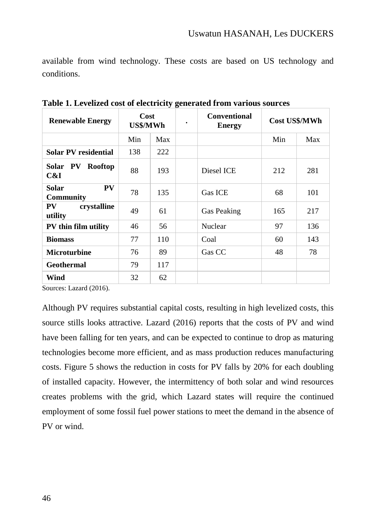available from wind technology. These costs are based on US technology and conditions.

| <b>Renewable Energy</b>             | Cost<br>US\$/MWh |     | $\bullet$ | <b>Conventional</b><br><b>Energy</b> | Cost US\$/MWh |     |
|-------------------------------------|------------------|-----|-----------|--------------------------------------|---------------|-----|
|                                     | Min              | Max |           |                                      | Min           | Max |
| <b>Solar PV residential</b>         | 138              | 222 |           |                                      |               |     |
| Solar PV<br>Rooftop<br>C&I          | 88               | 193 |           | Diesel ICE                           | 212           | 281 |
| PV<br>Solar<br><b>Community</b>     | 78               | 135 |           | <b>Gas ICE</b>                       | 68            | 101 |
| crystalline<br><b>PV</b><br>utility | 49               | 61  |           | <b>Gas Peaking</b>                   | 165           | 217 |
| PV thin film utility                | 46               | 56  |           | <b>Nuclear</b>                       | 97            | 136 |
| <b>Biomass</b>                      | 77               | 110 |           | Coal                                 | 60            | 143 |
| <b>Microturbine</b>                 | 76               | 89  |           | Gas CC                               | 48            | 78  |
| <b>Geothermal</b>                   | 79               | 117 |           |                                      |               |     |
| Wind                                | 32               | 62  |           |                                      |               |     |

**Table 1. Levelized cost of electricity generated from various sources**

Sources: Lazard (2016).

Although PV requires substantial capital costs, resulting in high levelized costs, this source stills looks attractive. Lazard (2016) reports that the costs of PV and wind have been falling for ten years, and can be expected to continue to drop as maturing technologies become more efficient, and as mass production reduces manufacturing costs. Figure 5 shows the reduction in costs for PV falls by 20% for each doubling of installed capacity. However, the intermittency of both solar and wind resources creates problems with the grid, which Lazard states will require the continued employment of some fossil fuel power stations to meet the demand in the absence of PV or wind.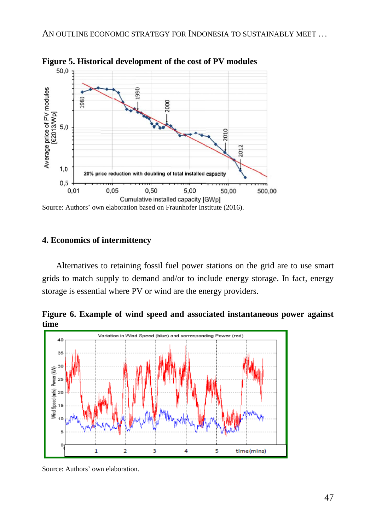

**Figure 5. Historical development of the cost of PV modules**

Source: Authors' own elaboration based on Fraunhofer Institute (2016).

#### **4. Economics of intermittency**

Alternatives to retaining fossil fuel power stations on the grid are to use smart grids to match supply to demand and/or to include energy storage. In fact, energy storage is essential where PV or wind are the energy providers.

**Figure 6. Example of wind speed and associated instantaneous power against time**



Source: Authors' own elaboration.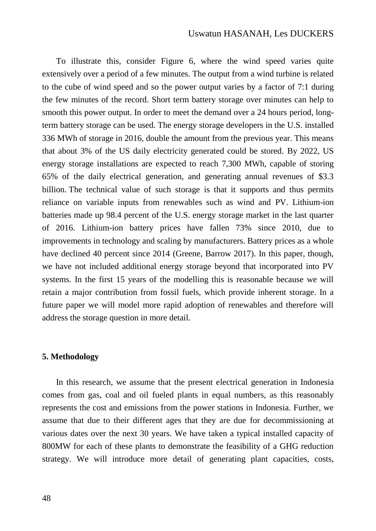To illustrate this, consider Figure 6, where the wind speed varies quite extensively over a period of a few minutes. The output from a wind turbine is related to the cube of wind speed and so the power output varies by a factor of 7:1 during the few minutes of the record. Short term battery storage over minutes can help to smooth this power output. In order to meet the demand over a 24 hours period, longterm battery storage can be used. The energy storage developers in the U.S. installed 336 MWh of storage in 2016, double the amount from the previous year. This means that about 3% of the US daily electricity generated could be stored. By 2022, US energy storage installations are expected to reach 7,300 MWh, capable of storing 65% of the daily electrical generation, and generating annual revenues of \$3.3 billion. The technical value of such storage is that it supports and thus permits reliance on variable inputs from renewables such as wind and PV. Lithium-ion batteries made up 98.4 percent of the U.S. energy storage market in the last quarter of 2016. Lithium-ion battery prices have fallen 73% since 2010, due to improvements in technology and scaling by manufacturers. Battery prices as a whole have declined 40 percent since 2014 (Greene, Barrow 2017). In this paper, though, we have not included additional energy storage beyond that incorporated into PV systems. In the first 15 years of the modelling this is reasonable because we will retain a major contribution from fossil fuels, which provide inherent storage. In a future paper we will model more rapid adoption of renewables and therefore will address the storage question in more detail.

#### **5. Methodology**

In this research, we assume that the present electrical generation in Indonesia comes from gas, coal and oil fueled plants in equal numbers, as this reasonably represents the cost and emissions from the power stations in Indonesia. Further, we assume that due to their different ages that they are due for decommissioning at various dates over the next 30 years. We have taken a typical installed capacity of 800MW for each of these plants to demonstrate the feasibility of a GHG reduction strategy. We will introduce more detail of generating plant capacities, costs,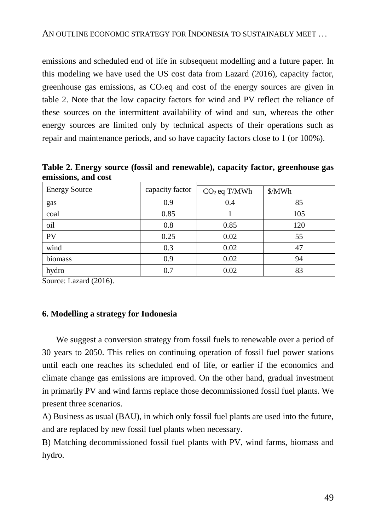emissions and scheduled end of life in subsequent modelling and a future paper. In this modeling we have used the US cost data from Lazard (2016), capacity factor, greenhouse gas emissions, as  $CO<sub>2</sub>$ eq and cost of the energy sources are given in table 2. Note that the low capacity factors for wind and PV reflect the reliance of these sources on the intermittent availability of wind and sun, whereas the other energy sources are limited only by technical aspects of their operations such as repair and maintenance periods, and so have capacity factors close to 1 (or 100%).

**Table 2. Energy source (fossil and renewable), capacity factor, greenhouse gas emissions, and cost**

| <b>Energy Source</b> | capacity factor | $CO2$ eq T/MWh | \$/MWh |  |
|----------------------|-----------------|----------------|--------|--|
| gas                  | 0.9             | 0.4            | 85     |  |
| coal                 | 0.85            |                | 105    |  |
| oil                  | 0.8             | 0.85           | 120    |  |
| PV                   | 0.25            | 0.02           | 55     |  |
| wind                 | 0.3             | 0.02           | 47     |  |
| biomass              | 0.9             | 0.02           | 94     |  |
| hydro                | 0.7             | 0.02           | 83     |  |

Source: Lazard (2016).

## **6. Modelling a strategy for Indonesia**

We suggest a conversion strategy from fossil fuels to renewable over a period of 30 years to 2050. This relies on continuing operation of fossil fuel power stations until each one reaches its scheduled end of life, or earlier if the economics and climate change gas emissions are improved. On the other hand, gradual investment in primarily PV and wind farms replace those decommissioned fossil fuel plants. We present three scenarios.

A) Business as usual (BAU), in which only fossil fuel plants are used into the future, and are replaced by new fossil fuel plants when necessary.

B) Matching decommissioned fossil fuel plants with PV, wind farms, biomass and hydro.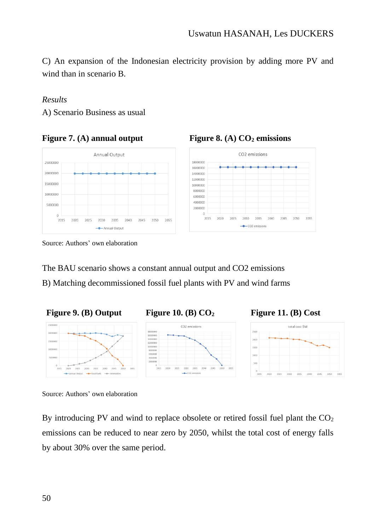C) An expansion of the Indonesian electricity provision by adding more PV and wind than in scenario B.

## *Results*

A) Scenario Business as usual





# **Figure 7. (A) annual output Figure 8. (A) CO<sup>2</sup> emissions**

The BAU scenario shows a constant annual output and CO2 emissions

B) Matching decommissioned fossil fuel plants with PV and wind farms



Source: Authors' own elaboration

By introducing PV and wind to replace obsolete or retired fossil fuel plant the  $CO<sub>2</sub>$ emissions can be reduced to near zero by 2050, whilst the total cost of energy falls by about 30% over the same period.

Source: Authors' own elaboration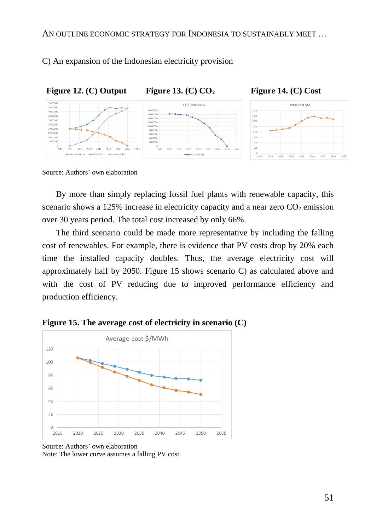C) An expansion of the Indonesian electricity provision



Source: Authors' own elaboration

By more than simply replacing fossil fuel plants with renewable capacity, this scenario shows a 125% increase in electricity capacity and a near zero  $CO<sub>2</sub>$  emission over 30 years period. The total cost increased by only 66%.

The third scenario could be made more representative by including the falling cost of renewables. For example, there is evidence that PV costs drop by 20% each time the installed capacity doubles. Thus, the average electricity cost will approximately half by 2050. Figure 15 shows scenario C) as calculated above and with the cost of PV reducing due to improved performance efficiency and production efficiency.



**Figure 15. The average cost of electricity in scenario (C)**

Source: Authors' own elaboration Note: The lower curve assumes a falling PV cost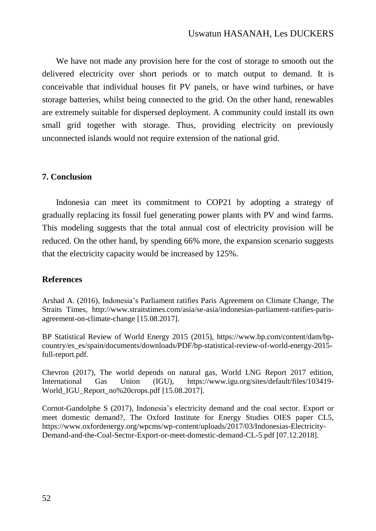We have not made any provision here for the cost of storage to smooth out the delivered electricity over short periods or to match output to demand. It is conceivable that individual houses fit PV panels, or have wind turbines, or have storage batteries, whilst being connected to the grid. On the other hand, renewables are extremely suitable for dispersed deployment. A community could install its own small grid together with storage. Thus, providing electricity on previously unconnected islands would not require extension of the national grid.

## **7. Conclusion**

Indonesia can meet its commitment to COP21 by adopting a strategy of gradually replacing its fossil fuel generating power plants with PV and wind farms. This modeling suggests that the total annual cost of electricity provision will be reduced. On the other hand, by spending 66% more, the expansion scenario suggests that the electricity capacity would be increased by 125%.

#### **References**

Arshad A. (2016), Indonesia's Parliament ratifies Paris Agreement on Climate Change, The Straits Times, [http://www.straitstimes.com/asia/se-asia/indonesias-parliament-ratifies-paris](http://www.straitstimes.com/asia/se-asia/indonesias-parliament-ratifies-paris-agreement-on-climate-change)[agreement-on-climate-change](http://www.straitstimes.com/asia/se-asia/indonesias-parliament-ratifies-paris-agreement-on-climate-change) [15.08.2017].

BP Statistical Review of World Energy 2015 (2015), https://www.bp.com/content/dam/bpcountry/es\_es/spain/documents/downloads/PDF/bp-statistical-review-of-world-energy-2015 full-report.pdf.

Chevron (2017), The world depends on natural gas, World LNG Report 2017 edition, International Gas Union (IGU), [https://www.igu.org/sites/default/files/103419-](https://www.igu.org/sites/default/files/103419-World_IGU_Report_no%20crops.pdf) World IGU Report no%20crops.pdf [15.08.2017].

Cornot-Gandolphe S (2017), Indonesia's electricity demand and the coal sector. Export or meet domestic demand?, The Oxford Institute for Energy Studies OIES paper CL5, [https://www.oxfordenergy.org/wpcms/wp-content/uploads/2017/03/Indonesias-Electricity-](https://www.oxfordenergy.org/wpcms/wp-content/uploads/2017/03/Indonesias-Electricity-Demand-and-the-Coal-Sector-Export-or-meet-domestic-demand-CL-5.pdf)[Demand-and-the-Coal-Sector-Export-or-meet-domestic-demand-CL-5.pdf](https://www.oxfordenergy.org/wpcms/wp-content/uploads/2017/03/Indonesias-Electricity-Demand-and-the-Coal-Sector-Export-or-meet-domestic-demand-CL-5.pdf) [07.12.2018].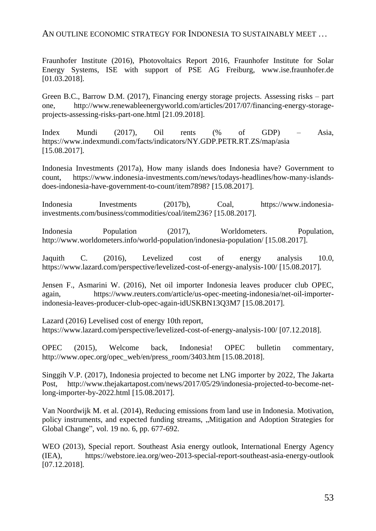#### AN OUTLINE ECONOMIC STRATEGY FOR INDONESIA TO SUSTAINABLY MEET ...

Fraunhofer Institute (2016), Photovoltaics Report 2016, Fraunhofer Institute for Solar Energy Systems, ISE with support of PSE AG Freiburg, www.ise.fraunhofer.de [01.03.2018].

Green B.C., Barrow D.M. (2017), Financing energy storage projects. Assessing risks – part one, [http://www.renewableenergyworld.com/articles/2017/07/financing-energy-storage](http://www.renewableenergyworld.com/articles/2017/07/financing-energy-storage-projects-assessing-risks-part-one.html)[projects-assessing-risks-part-one.html](http://www.renewableenergyworld.com/articles/2017/07/financing-energy-storage-projects-assessing-risks-part-one.html) [21.09.2018].

Index Mundi (2017), Oil rents (% of GDP) – Asia, <https://www.indexmundi.com/facts/indicators/NY.GDP.PETR.RT.ZS/map/asia> [15.08.2017].

Indonesia Investments (2017a), How many islands does Indonesia have? Government to count, [https://www.indonesia-investments.com/news/todays-headlines/how-many-islands](https://www.indonesia-investments.com/news/todays-headlines/how-many-islands-does-indonesia-have-government-to-count/item7898)[does-indonesia-have-government-to-count/item7898?](https://www.indonesia-investments.com/news/todays-headlines/how-many-islands-does-indonesia-have-government-to-count/item7898) [15.08.2017].

Indonesia Investments (2017b), Coal, [https://www.indonesia](https://www.indonesia-investments.com/business/commodities/coal/item236)[investments.com/business/commodities/coal/item236?](https://www.indonesia-investments.com/business/commodities/coal/item236) [15.08.2017].

Indonesia Population (2017), Worldometers. Population, <http://www.worldometers.info/world-population/indonesia-population/> [15.08.2017].

Jaquith C. (2016), Levelized cost of energy analysis 10.0, <https://www.lazard.com/perspective/levelized-cost-of-energy-analysis-100/> [15.08.2017].

Jensen F., Asmarini W. (2016), Net oil importer Indonesia leaves producer club OPEC, again, https://www.reuters.com/article/us-opec-meeting-indonesia/net-oil-importerindonesia-leaves-producer-club-opec-again-idUSKBN13Q3M7 [15.08.2017].

Lazard (2016) Levelised cost of energy 10th report, <https://www.lazard.com/perspective/levelized-cost-of-energy-analysis-100/> [07.12.2018].

OPEC (2015), Welcome back, Indonesia! OPEC bulletin commentary, [http://www.opec.org/opec\\_web/en/press\\_room/3403.htm](http://www.opec.org/opec_web/en/press_room/3403.htm) [15.08.2018].

Singgih V.P. (2017), Indonesia projected to become net LNG importer by 2022, The Jakarta Post, [http://www.thejakartapost.com/news/2017/05/29/indonesia-projected-to-become-net](http://www.thejakartapost.com/news/2017/05/29/indonesia-projected-to-become-net-long-importer-by-2022.html)[long-importer-by-2022.html](http://www.thejakartapost.com/news/2017/05/29/indonesia-projected-to-become-net-long-importer-by-2022.html) [15.08.2017].

Van Noordwijk M. et al. (2014), Reducing emissions from land use in Indonesia. Motivation, policy instruments, and expected funding streams, "Mitigation and Adoption Strategies for Global Change", vol. 19 no. 6, pp. 677-692.

WEO (2013), Special report. Southeast Asia energy outlook, International Energy Agency (IEA), <https://webstore.iea.org/weo-2013-special-report-southeast-asia-energy-outlook> [07.12.2018].